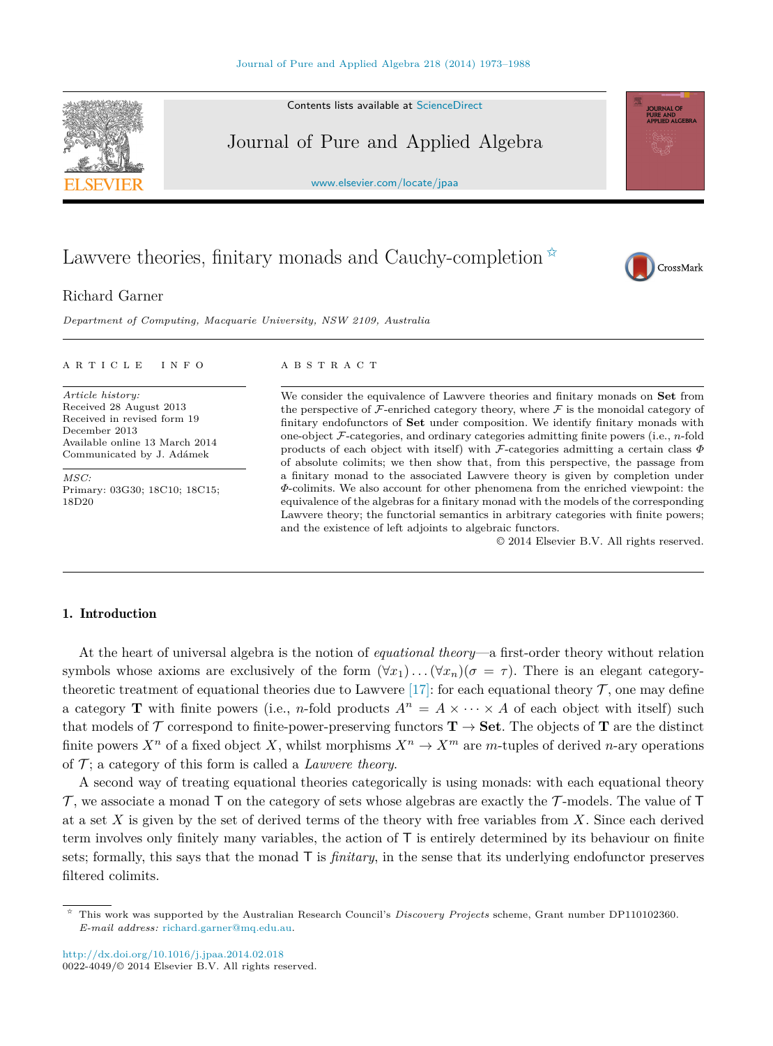Contents lists available at [ScienceDirect](http://www.ScienceDirect.com/)

# Journal of Pure and Applied Algebra

[www.elsevier.com/locate/jpaa](http://www.elsevier.com/locate/jpaa)

# Lawvere theories, finitary monads and Cauchy-completion  $*$

# Richard Garner

*Department of Computing, Macquarie University, NSW 2109, Australia*

#### article info abstract

*Article history:* Received 28 August 2013 Received in revised form 19 December 2013 Available online 13 March 2014 Communicated by J. Adámek

*MSC:* Primary: 03G30; 18C10; 18C15; 18D20

We consider the equivalence of Lawvere theories and finitary monads on **Set** from the perspective of  $\mathcal F$ -enriched category theory, where  $\mathcal F$  is the monoidal category of finitary endofunctors of **Set** under composition. We identify finitary monads with one-object F-categories, and ordinary categories admitting finite powers (i.e., *n*-fold products of each object with itself) with F-categories admitting a certain class *Φ* of absolute colimits; we then show that, from this perspective, the passage from a finitary monad to the associated Lawvere theory is given by completion under *Φ*-colimits. We also account for other phenomena from the enriched viewpoint: the equivalence of the algebras for a finitary monad with the models of the corresponding Lawvere theory; the functorial semantics in arbitrary categories with finite powers; and the existence of left adjoints to algebraic functors.

© 2014 Elsevier B.V. All rights reserved.

# 1. Introduction

At the heart of universal algebra is the notion of *equational theory*—a first-order theory without relation symbols whose axioms are exclusively of the form  $(\forall x_1) \dots (\forall x_n)(\sigma = \tau)$ . There is an elegant category-theoretic treatment of equational theories due to Lawvere [\[17\]:](#page-15-0) for each equational theory  $\mathcal{T}$ , one may define a category **T** with finite powers (i.e., *n*-fold products  $A^n = A \times \cdots \times A$  of each object with itself) such that models of  $\mathcal T$  correspond to finite-power-preserving functors  $\mathbf T \to \mathbf{Set}$ . The objects of  $\mathbf T$  are the distinct finite powers  $X^n$  of a fixed object X, whilst morphisms  $X^n \to X^m$  are *m*-tuples of derived *n*-ary operations of  $\mathcal{T}$ ; a category of this form is called a *Lawvere theory*.

A second way of treating equational theories categorically is using monads: with each equational theory  $\mathcal T$ , we associate a monad T on the category of sets whose algebras are exactly the  $\mathcal T$ -models. The value of T at a set *X* is given by the set of derived terms of the theory with free variables from *X*. Since each derived term involves only finitely many variables, the action of T is entirely determined by its behaviour on finite sets; formally, this says that the monad T is *finitary*, in the sense that its underlying endofunctor preserves filtered colimits.







<sup>✩</sup> This work was supported by the Australian Research Council's *Discovery Projects* scheme, Grant number DP110102360. *E-mail address:* [richard.garner@mq.edu.au.](mailto:richard.garner@mq.edu.au)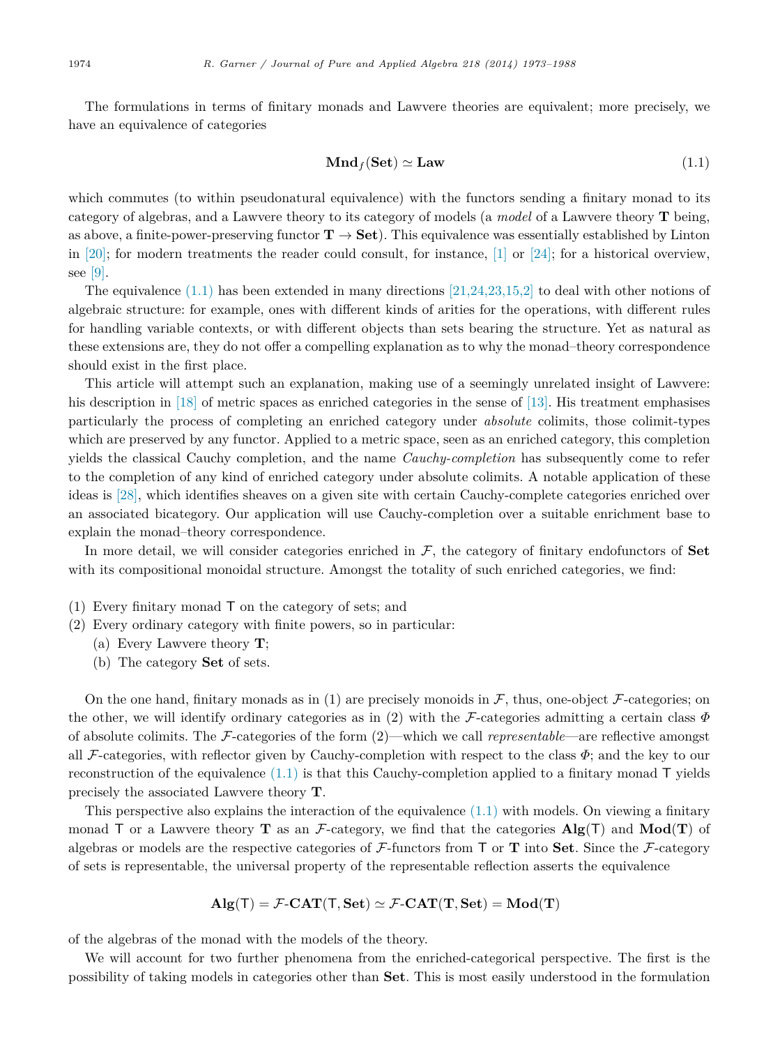The formulations in terms of finitary monads and Lawvere theories are equivalent; more precisely, we have an equivalence of categories

$$
\mathbf{Mnd}_f(\mathbf{Set}) \simeq \mathbf{Law} \tag{1.1}
$$

which commutes (to within pseudonatural equivalence) with the functors sending a finitary monad to its category of algebras, and a Lawvere theory to its category of models (a *model* of a Lawvere theory **T** being, as above, a finite-power-preserving functor  $T \rightarrow$  **Set**). This equivalence was essentially established by Linton in [\[20\];](#page-15-0) for modern treatments the reader could consult, for instance, [\[1\]](#page-15-0) or [\[24\];](#page-15-0) for a historical overview, see [\[9\].](#page-15-0)

The equivalence  $(1.1)$  has been extended in many directions  $[21,24,23,15,2]$  to deal with other notions of algebraic structure: for example, ones with different kinds of arities for the operations, with different rules for handling variable contexts, or with different objects than sets bearing the structure. Yet as natural as these extensions are, they do not offer a compelling explanation as to why the monad–theory correspondence should exist in the first place.

This article will attempt such an explanation, making use of a seemingly unrelated insight of Lawvere: his description in [\[18\]](#page-15-0) of metric spaces as enriched categories in the sense of [\[13\].](#page-15-0) His treatment emphasises particularly the process of completing an enriched category under *absolute* colimits, those colimit-types which are preserved by any functor. Applied to a metric space, seen as an enriched category, this completion yields the classical Cauchy completion, and the name *Cauchy-completion* has subsequently come to refer to the completion of any kind of enriched category under absolute colimits. A notable application of these ideas is [\[28\],](#page-15-0) which identifies sheaves on a given site with certain Cauchy-complete categories enriched over an associated bicategory. Our application will use Cauchy-completion over a suitable enrichment base to explain the monad–theory correspondence.

In more detail, we will consider categories enriched in  $\mathcal{F}$ , the category of finitary endofunctors of **Set** with its compositional monoidal structure. Amongst the totality of such enriched categories, we find:

- (1) Every finitary monad T on the category of sets; and
- (2) Every ordinary category with finite powers, so in particular:
	- (a) Every Lawvere theory **T**;
	- (b) The category **Set** of sets.

On the one hand, finitary monads as in (1) are precisely monoids in  $\mathcal{F}$ , thus, one-object  $\mathcal{F}$ -categories; on the other, we will identify ordinary categories as in (2) with the F-categories admitting a certain class *Φ* of absolute colimits. The F-categories of the form (2)—which we call *representable*—are reflective amongst all F-categories, with reflector given by Cauchy-completion with respect to the class *Φ*; and the key to our reconstruction of the equivalence  $(1.1)$  is that this Cauchy-completion applied to a finitary monad  $\mathsf{T}$  yields precisely the associated Lawvere theory **T**.

This perspective also explains the interaction of the equivalence  $(1.1)$  with models. On viewing a finitary monad  $\mathsf{T}$  or a Lawvere theory  $\mathbf{T}$  as an F-category, we find that the categories  $\mathbf{Alg}(\mathsf{T})$  and  $\mathbf{Mod}(\mathbf{T})$  of algebras or models are the respective categories of F-functors from T or **T** into **Set**. Since the F-category of sets is representable, the universal property of the representable reflection asserts the equivalence

$$
\mathbf{Alg}(\mathsf{T}) = \mathcal{F}\text{-}\mathbf{CAT}(\mathsf{T}, \mathbf{Set}) \simeq \mathcal{F}\text{-}\mathbf{CAT}(\mathbf{T}, \mathbf{Set}) = \mathbf{Mod}(\mathbf{T})
$$

of the algebras of the monad with the models of the theory.

We will account for two further phenomena from the enriched-categorical perspective. The first is the possibility of taking models in categories other than **Set**. This is most easily understood in the formulation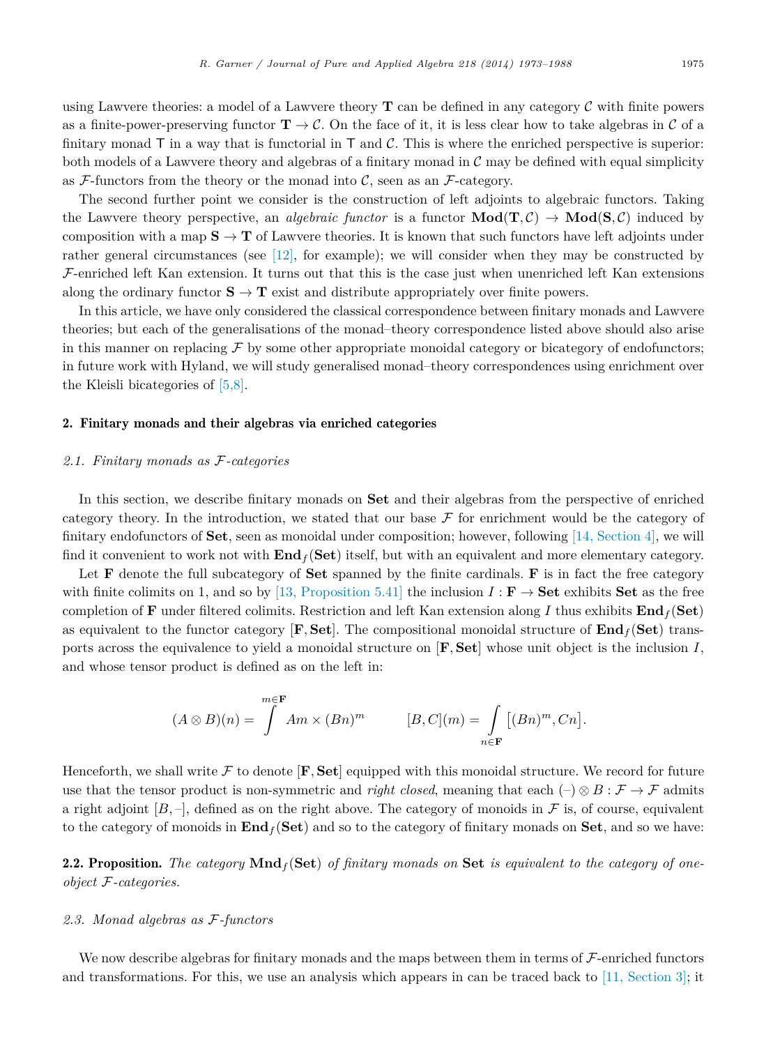<span id="page-2-0"></span>using Lawvere theories: a model of a Lawvere theory **T** can be defined in any category C with finite powers as a finite-power-preserving functor  $\mathbf{T} \to \mathcal{C}$ . On the face of it, it is less clear how to take algebras in  $\mathcal{C}$  of a finitary monad  $\overline{\mathrm{T}}$  in a way that is functorial in  $\overline{\mathrm{T}}$  and  $\overline{\mathcal{C}}$ . This is where the enriched perspective is superior: both models of a Lawvere theory and algebras of a finitary monad in  $\mathcal C$  may be defined with equal simplicity as  $F$ -functors from the theory or the monad into  $C$ , seen as an  $F$ -category.

The second further point we consider is the construction of left adjoints to algebraic functors. Taking the Lawvere theory perspective, an *algebraic functor* is a functor  $\text{Mod}(\mathbf{T}, \mathcal{C}) \to \text{Mod}(\mathbf{S}, \mathcal{C})$  induced by composition with a map  $S \to T$  of Lawvere theories. It is known that such functors have left adjoints under rather general circumstances (see [\[12\],](#page-15-0) for example); we will consider when they may be constructed by  $F$ -enriched left Kan extension. It turns out that this is the case just when unenriched left Kan extensions along the ordinary functor  $S \to T$  exist and distribute appropriately over finite powers.

In this article, we have only considered the classical correspondence between finitary monads and Lawvere theories; but each of the generalisations of the monad–theory correspondence listed above should also arise in this manner on replacing  $\mathcal F$  by some other appropriate monoidal category or bicategory of endofunctors; in future work with Hyland, we will study generalised monad–theory correspondences using enrichment over the Kleisli bicategories of [\[5,8\].](#page-15-0)

# 2. Finitary monads and their algebras via enriched categories

#### *2.1. Finitary monads as* F*-categories*

In this section, we describe finitary monads on **Set** and their algebras from the perspective of enriched category theory. In the introduction, we stated that our base  $\mathcal F$  for enrichment would be the category of finitary endofunctors of **Set**, seen as monoidal under composition; however, following [\[14, Section 4\],](#page-15-0) we will find it convenient to work not with **End***<sup>f</sup>* (**Set**) itself, but with an equivalent and more elementary category.

Let **F** denote the full subcategory of **Set** spanned by the finite cardinals. **F** is in fact the free category with finite colimits on 1, and so by [\[13, Proposition 5.41\]](#page-15-0) the inclusion  $I : \mathbf{F} \to \mathbf{Set}$  exhibits **Set** as the free completion of **F** under filtered colimits. Restriction and left Kan extension along *I* thus exhibits  $\text{End}_f(\text{Set})$ as equivalent to the functor category  $[\mathbf{F}, \mathbf{Set}]$ . The compositional monoidal structure of  $\mathbf{End}_f(\mathbf{Set})$  transports across the equivalence to yield a monoidal structure on [**F***,* **Set**] whose unit object is the inclusion *I*, and whose tensor product is defined as on the left in:

$$
(A \otimes B)(n) = \int_{0}^{m \in \mathbf{F}} A(m \times (Bn)^m) \qquad [B, C](m) = \int_{n \in \mathbf{F}} [(Bn)^m, Cn].
$$

Henceforth, we shall write  $\mathcal F$  to denote  $[\mathbf F, \mathbf{Set}]$  equipped with this monoidal structure. We record for future use that the tensor product is non-symmetric and *right closed*, meaning that each  $\left(\frac{-\right)}{2} \otimes B : \mathcal{F} \to \mathcal{F}$  admits a right adjoint  $[B, -]$ , defined as on the right above. The category of monoids in F is, of course, equivalent to the category of monoids in **End***<sup>f</sup>* (**Set**) and so to the category of finitary monads on **Set**, and so we have:

2.2. Proposition. *The category* **Mnd***<sup>f</sup>* (**Set**) *of finitary monads on* **Set** *is equivalent to the category of oneobject* F*-categories.*

#### *2.3. Monad algebras as* F*-functors*

We now describe algebras for finitary monads and the maps between them in terms of  $\mathcal{F}\text{-enriched functors}$ and transformations. For this, we use an analysis which appears in can be traced back to [\[11, Section 3\];](#page-15-0) it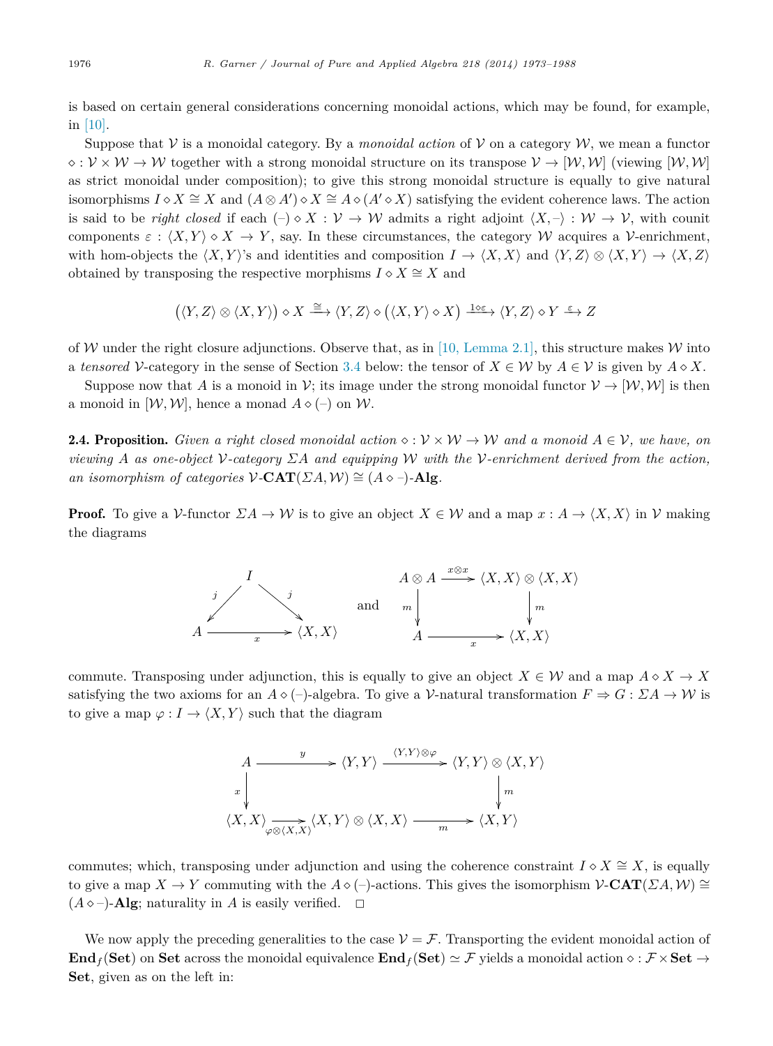is based on certain general considerations concerning monoidal actions, which may be found, for example, in [\[10\].](#page-15-0)

Suppose that  $V$  is a monoidal category. By a *monoidal action* of  $V$  on a category W, we mean a functor  $\Diamond: \mathcal{V} \times \mathcal{W} \to \mathcal{W}$  together with a strong monoidal structure on its transpose  $\mathcal{V} \to [\mathcal{W}, \mathcal{W}]$  (viewing  $[\mathcal{W}, \mathcal{W}]$ ) as strict monoidal under composition); to give this strong monoidal structure is equally to give natural isomorphisms  $I \diamond X \cong X$  and  $(A \otimes A') \diamond X \cong A \diamond (A' \diamond X)$  satisfying the evident coherence laws. The action is said to be *right closed* if each  $\langle -\rangle \circ X : \mathcal{V} \to \mathcal{W}$  admits a right adjoint  $\langle X, -\rangle : \mathcal{W} \to \mathcal{V}$ , with counit components  $\varepsilon : \langle X, Y \rangle \diamond X \to Y$ , say. In these circumstances, the category W acquires a V-enrichment, with hom-objects the  $\langle X, Y \rangle$ 's and identities and composition  $I \to \langle X, X \rangle$  and  $\langle Y, Z \rangle \otimes \langle X, Y \rangle \to \langle X, Z \rangle$ obtained by transposing the respective morphisms  $I \circ X \cong X$  and

$$
(\langle Y, Z \rangle \otimes \langle X, Y \rangle) \diamond X \xrightarrow{\cong} \langle Y, Z \rangle \diamond (\langle X, Y \rangle \diamond X) \xrightarrow{1 \diamond \varepsilon} \langle Y, Z \rangle \diamond Y \xrightarrow{\varepsilon} Z
$$

of W under the right closure adjunctions. Observe that, as in [\[10, Lemma 2.1\],](#page-15-0) this structure makes W into a *tensored* V-category in the sense of Section [3.4](#page-5-0) below: the tensor of  $X \in \mathcal{W}$  by  $A \in \mathcal{V}$  is given by  $A \diamond X$ .

Suppose now that *A* is a monoid in V; its image under the strong monoidal functor  $V \rightarrow [W, W]$  is then a monoid in  $[W, W]$ , hence a monad  $A \diamond (-)$  on W.

**2.4. Proposition.** *Given* a right closed monoidal action  $\diamond : V \times W \rightarrow W$  and a monoid  $A \in V$ , we have, on *viewing A as one-object* V*-category ΣA and equipping* W *with the* V*-enrichment derived from the action, an isomorphism of categories*  $V$ **-CAT**( $\Sigma A$ ,  $W$ )  $\cong$   $(A \diamond -)$ **-Alg***.* 

**Proof.** To give a V-functor  $\Sigma A \to W$  is to give an object  $X \in W$  and a map  $x : A \to \langle X, X \rangle$  in V making the diagrams



commute. Transposing under adjunction, this is equally to give an object  $X \in \mathcal{W}$  and a map  $A \circ X \to X$ satisfying the two axioms for an  $A \diamond (-)$ -algebra. To give a V-natural transformation  $F \Rightarrow G : \Sigma A \rightarrow W$  is to give a map  $\varphi: I \to \langle X, Y \rangle$  such that the diagram

$$
A \xrightarrow{y} \langle Y, Y \rangle \xrightarrow{\langle Y, Y \rangle \otimes \varphi} \langle Y, Y \rangle \otimes \langle X, Y \rangle
$$
  
\n
$$
\downarrow x
$$
  
\n
$$
\langle X, X \rangle \xrightarrow[\varphi \otimes \langle X, X \rangle]{} \langle X, X \rangle \xrightarrow{m} \langle X, Y \rangle
$$

commutes; which, transposing under adjunction and using the coherence constraint  $I \circ X \cong X$ , is equally to give a map  $X \to Y$  commuting with the  $A \circ (-)$ -actions. This gives the isomorphism  $\mathcal{V}\text{-}\mathbf{CAT}(ZA, \mathcal{W}) \cong$  $(A \diamond -)$ -**Alg**; naturality in *A* is easily verified.  $\Box$ 

We now apply the preceding generalities to the case  $V = \mathcal{F}$ . Transporting the evident monoidal action of **Endf** (Set) on Set across the monoidal equivalence **Endf** (Set)  $\simeq$  F yields a monoidal action  $\circ$  : F  $\times$  Set  $\rightarrow$ **Set**, given as on the left in: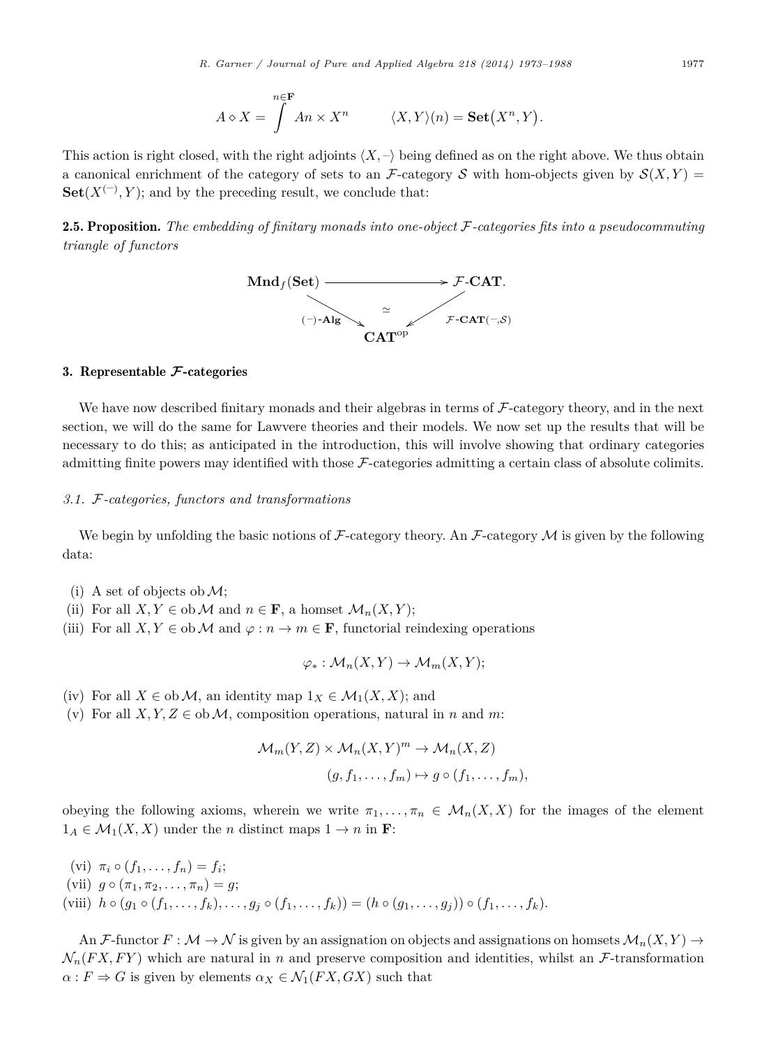$$
A \diamond X = \int^{n \in \mathbf{F}} An \times X^n \qquad \langle X, Y \rangle(n) = \mathbf{Set}(X^n, Y).
$$

<span id="page-4-0"></span>This action is right closed, with the right adjoints  $\langle X, - \rangle$  being defined as on the right above. We thus obtain a canonical enrichment of the category of sets to an F-category S with hom-objects given by  $S(X, Y)$  $\textbf{Set}(X^{(-)}, Y)$ ; and by the preceding result, we conclude that:

2.5. Proposition. *The embedding of finitary monads into one-object* F*-categories fits into a pseudocommuting triangle of functors*



# 3. Representable **F**-categories

We have now described finitary monads and their algebras in terms of  $\mathcal{F}\text{-category}$  theory, and in the next section, we will do the same for Lawvere theories and their models. We now set up the results that will be necessary to do this; as anticipated in the introduction, this will involve showing that ordinary categories admitting finite powers may identified with those F-categories admitting a certain class of absolute colimits.

# *3.1.* F*-categories, functors and transformations*

We begin by unfolding the basic notions of  $\mathcal{F}\text{-category}$  theory. An  $\mathcal{F}\text{-category}\mathcal{M}$  is given by the following data:

- (i) A set of objects ob  $\mathcal{M}$ ;
- (ii) For all  $X, Y \in ob \mathcal{M}$  and  $n \in \mathbf{F}$ , a homset  $\mathcal{M}_n(X, Y)$ ;
- (iii) For all  $X, Y \in ob \mathcal{M}$  and  $\varphi : n \to m \in \mathbf{F}$ , functorial reindexing operations

$$
\varphi_*: \mathcal{M}_n(X, Y) \to \mathcal{M}_m(X, Y);
$$

- (iv) For all  $X \in ob \mathcal{M}$ , an identity map  $1_X \in \mathcal{M}_1(X,X)$ ; and
- (v) For all  $X, Y, Z \in ob \mathcal{M}$ , composition operations, natural in *n* and *m*:

$$
\mathcal{M}_m(Y, Z) \times \mathcal{M}_n(X, Y)^m \to \mathcal{M}_n(X, Z)
$$
  

$$
(g, f_1, \dots, f_m) \mapsto g \circ (f_1, \dots, f_m),
$$

obeying the following axioms, wherein we write  $\pi_1, \ldots, \pi_n \in \mathcal{M}_n(X, X)$  for the images of the element  $1_A \in \mathcal{M}_1(X, X)$  under the *n* distinct maps  $1 \to n$  in **F**:

 $(vi)$   $\pi_i \circ (f_1, \ldots, f_n) = f_i;$  $(vii)$   $q \circ (\pi_1, \pi_2, \ldots, \pi_n) = q;$  $(viiii)$   $h \circ (g_1 \circ (f_1, \ldots, f_k), \ldots, g_j \circ (f_1, \ldots, f_k)) = (h \circ (g_1, \ldots, g_j)) \circ (f_1, \ldots, f_k).$ 

An F-functor  $F: \mathcal{M} \to \mathcal{N}$  is given by an assignation on objects and assignations on homsets  $\mathcal{M}_n(X, Y) \to$  $\mathcal{N}_n(FX, FY)$  which are natural in *n* and preserve composition and identities, whilst an *F*-transformation  $\alpha: F \Rightarrow G$  is given by elements  $\alpha_X \in \mathcal{N}_1(FX, GX)$  such that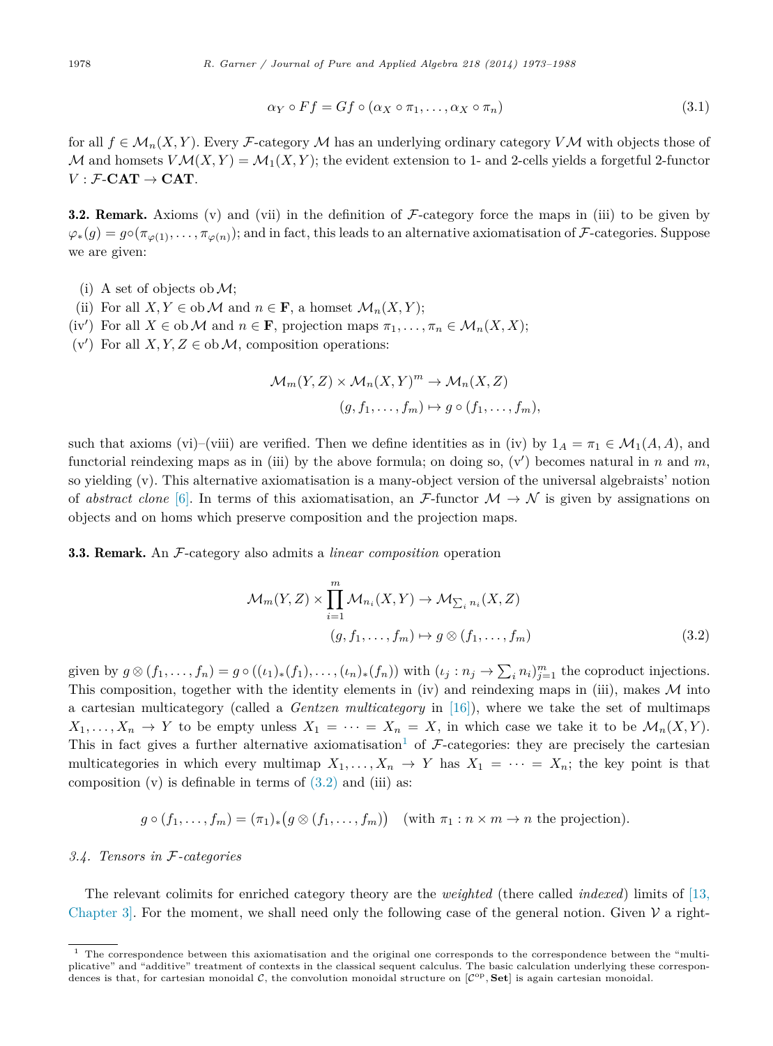$$
\alpha_Y \circ Ff = Gf \circ (\alpha_X \circ \pi_1, \dots, \alpha_X \circ \pi_n)
$$
\n(3.1)

<span id="page-5-0"></span>for all  $f \in \mathcal{M}_n(X, Y)$ . Every F-category M has an underlying ordinary category VM with objects those of M and homsets  $V\mathcal{M}(X,Y) = \mathcal{M}_1(X,Y)$ ; the evident extension to 1- and 2-cells yields a forgetful 2-functor  $V : \mathcal{F}\text{-}\mathbf{CAT} \to \mathbf{CAT}$ .

**3.2. Remark.** Axioms (v) and (vii) in the definition of  $F$ -category force the maps in (iii) to be given by  $\varphi_*(g) = g \circ (\pi_{\varphi(1)}, \ldots, \pi_{\varphi(n)})$ ; and in fact, this leads to an alternative axiomatisation of *F*-categories. Suppose we are given:

- (i) A set of objects ob  $\mathcal{M}$ ;
- (ii) For all  $X, Y \in ob \mathcal{M}$  and  $n \in \mathbf{F}$ , a homset  $\mathcal{M}_n(X, Y)$ ;
- (iv') For all  $X \in ob \mathcal{M}$  and  $n \in \mathbf{F}$ , projection maps  $\pi_1, \ldots, \pi_n \in \mathcal{M}_n(X, X)$ ;
- (v') For all  $X, Y, Z \in ob \mathcal{M}$ , composition operations:

$$
\mathcal{M}_m(Y, Z) \times \mathcal{M}_n(X, Y)^m \to \mathcal{M}_n(X, Z)
$$
  

$$
(g, f_1, \dots, f_m) \mapsto g \circ (f_1, \dots, f_m),
$$

such that axioms (vi)–(viii) are verified. Then we define identities as in (iv) by  $1_A = \pi_1 \in \mathcal{M}_1(A, A)$ , and functorial reindexing maps as in (iii) by the above formula; on doing so, (v ) becomes natural in *n* and *m*, so yielding (v). This alternative axiomatisation is a many-object version of the universal algebraists' notion of *abstract clone* [\[6\].](#page-15-0) In terms of this axiomatisation, an F-functor  $\mathcal{M} \to \mathcal{N}$  is given by assignations on objects and on homs which preserve composition and the projection maps.

3.3. Remark. An F-category also admits a *linear composition* operation

$$
\mathcal{M}_m(Y, Z) \times \prod_{i=1}^m \mathcal{M}_{n_i}(X, Y) \to \mathcal{M}_{\sum_i n_i}(X, Z)
$$
  

$$
(g, f_1, \dots, f_m) \mapsto g \otimes (f_1, \dots, f_m)
$$
 (3.2)

given by  $g \otimes (f_1, \ldots, f_n) = g \circ ((\iota_1)_*(f_1), \ldots, (\iota_n)_*(f_n))$  with  $(\iota_j : n_j \to \sum_i n_i)_{j=1}^m$  the coproduct injections. This composition, together with the identity elements in (iv) and reindexing maps in (iii), makes  $\mathcal M$  into a cartesian multicategory (called a *Gentzen multicategory* in [\[16\]\)](#page-15-0), where we take the set of multimaps  $X_1, \ldots, X_n \to Y$  to be empty unless  $X_1 = \cdots = X_n = X$ , in which case we take it to be  $\mathcal{M}_n(X, Y)$ . This in fact gives a further alternative axiomatisation<sup>1</sup> of  $\mathcal{F}$ -categories: they are precisely the cartesian multicategories in which every multimap  $X_1, \ldots, X_n \to Y$  has  $X_1 = \cdots = X_n$ ; the key point is that composition  $(v)$  is definable in terms of  $(3.2)$  and  $(iii)$  as:

$$
g \circ (f_1, \ldots, f_m) = (\pi_1)_* (g \otimes (f_1, \ldots, f_m))
$$
 (with  $\pi_1 : n \times m \to n$  the projection).

### *3.4. Tensors in* F*-categories*

The relevant colimits for enriched category theory are the *weighted* (there called *indexed*) limits of [\[13,](#page-15-0) Chapter 3. For the moment, we shall need only the following case of the general notion. Given  $\mathcal V$  a right-

<sup>&</sup>lt;sup>1</sup> The correspondence between this axiomatisation and the original one corresponds to the correspondence between the "multiplicative" and "additive" treatment of contexts in the classical sequent calculus. The basic calculation underlying these correspondences is that, for cartesian monoidal  $C$ , the convolution monoidal structure on  $[{\cal C}^{op}, {\bf Set}]$  is again cartesian monoidal.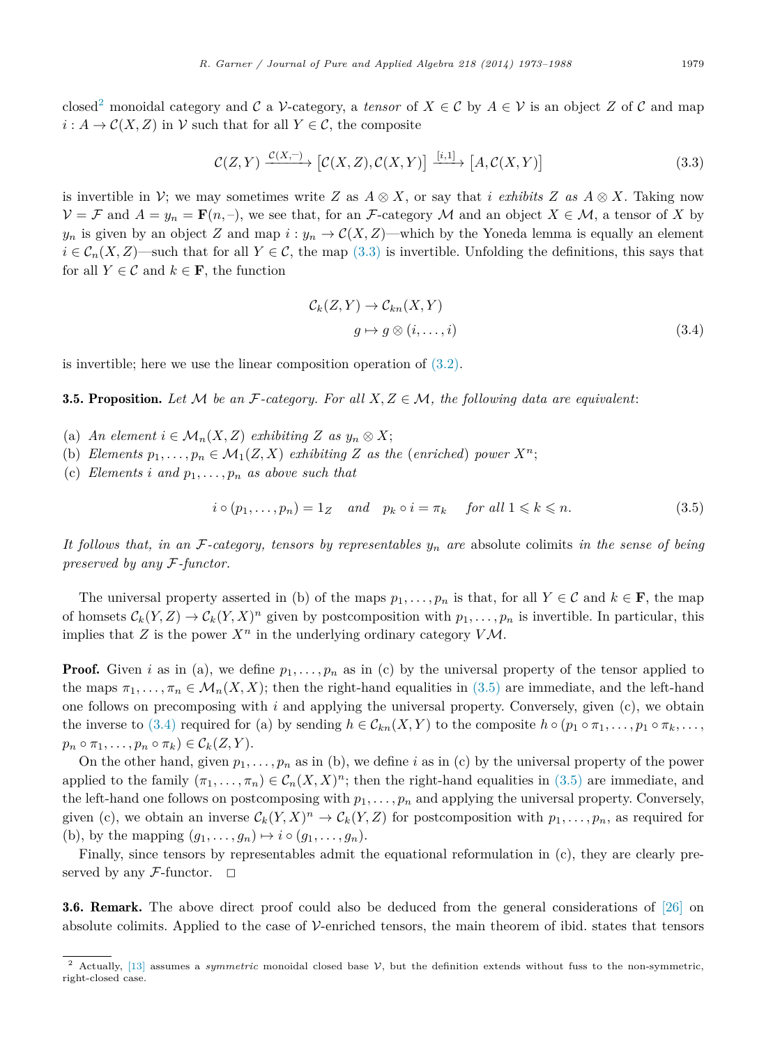<span id="page-6-0"></span>closed<sup>2</sup> monoidal category and C a V-category, a *tensor* of  $X \in \mathcal{C}$  by  $A \in \mathcal{V}$  is an object Z of C and map  $i: A \to C(X, Z)$  in *V* such that for all  $Y \in C$ , the composite

$$
\mathcal{C}(Z,Y) \xrightarrow{\mathcal{C}(X,-)} [\mathcal{C}(X,Z), \mathcal{C}(X,Y)] \xrightarrow{[i,1]} [A, \mathcal{C}(X,Y)]
$$
\n(3.3)

is invertible in  $\mathcal{V}$ ; we may sometimes write *Z* as  $A \otimes X$ , or say that *i exhibits Z* as  $A \otimes X$ . Taking now  $V = \mathcal{F}$  and  $A = y_n = \mathbf{F}(n, -)$ , we see that, for an F-category M and an object  $X \in \mathcal{M}$ , a tensor of X by  $y_n$  is given by an object *Z* and map  $i : y_n \to C(X, Z)$ —which by the Yoneda lemma is equally an element  $i \in \mathcal{C}_n(X, Z)$ —such that for all  $Y \in \mathcal{C}$ , the map (3.3) is invertible. Unfolding the definitions, this says that for all  $Y \in \mathcal{C}$  and  $k \in \mathbf{F}$ , the function

$$
\mathcal{C}_k(Z, Y) \to \mathcal{C}_{kn}(X, Y)
$$
  
\n
$$
g \mapsto g \otimes (i, \dots, i)
$$
\n(3.4)

is invertible; here we use the linear composition operation of [\(3.2\).](#page-5-0)

**3.5. Proposition.** Let M be an F-category. For all  $X, Z \in \mathcal{M}$ , the following data are equivalent:

- (a) *An element*  $i \in \mathcal{M}_n(X, Z)$  *exhibiting*  $Z$  *as*  $y_n \otimes X$ ;
- (b) *Elements*  $p_1, \ldots, p_n \in M_1(Z, X)$  *exhibiting Z as the* (*enriched*) *power*  $X^n$ ;
- (c) *Elements i* and  $p_1, \ldots, p_n$  *as above such that*

$$
i \circ (p_1, \dots, p_n) = 1_Z \quad and \quad p_k \circ i = \pi_k \quad \text{for all } 1 \leq k \leq n. \tag{3.5}
$$

*It follows that, in an* F*-category, tensors by representables y<sup>n</sup> are* absolute colimits *in the sense of being preserved by any* F*-functor.*

The universal property asserted in (b) of the maps  $p_1, \ldots, p_n$  is that, for all  $Y \in \mathcal{C}$  and  $k \in \mathbf{F}$ , the map of homsets  $\mathcal{C}_k(Y, Z) \to \mathcal{C}_k(Y, X)^n$  given by postcomposition with  $p_1, \ldots, p_n$  is invertible. In particular, this implies that *Z* is the power  $X^n$  in the underlying ordinary category  $V\mathcal{M}$ .

**Proof.** Given *i* as in (a), we define  $p_1, \ldots, p_n$  as in (c) by the universal property of the tensor applied to the maps  $\pi_1, \ldots, \pi_n \in \mathcal{M}_n(X, X)$ ; then the right-hand equalities in (3.5) are immediate, and the left-hand one follows on precomposing with *i* and applying the universal property. Conversely, given (c), we obtain the inverse to (3.4) required for (a) by sending  $h \in \mathcal{C}_{kn}(X, Y)$  to the composite  $h \circ (p_1 \circ \pi_1, \ldots, p_1 \circ \pi_k, \ldots,$  $p_n \circ \pi_1, \ldots, p_n \circ \pi_k \in C_k(Z, Y).$ 

On the other hand, given  $p_1, \ldots, p_n$  as in (b), we define *i* as in (c) by the universal property of the power applied to the family  $(\pi_1, \ldots, \pi_n) \in C_n(X, X)^n$ ; then the right-hand equalities in  $(3.5)$  are immediate, and the left-hand one follows on postcomposing with  $p_1, \ldots, p_n$  and applying the universal property. Conversely, given (c), we obtain an inverse  $\mathcal{C}_k(Y,X)^n \to \mathcal{C}_k(Y,Z)$  for postcomposition with  $p_1,\ldots,p_n$ , as required for (b), by the mapping  $(g_1, \ldots, g_n) \mapsto i \circ (g_1, \ldots, g_n)$ .

Finally, since tensors by representables admit the equational reformulation in (c), they are clearly preserved by any  $\mathcal{F}\text{-}\text{functor.}$ 

3.6. Remark. The above direct proof could also be deduced from the general considerations of [\[26\]](#page-15-0) on absolute colimits. Applied to the case of  $\mathcal V$ -enriched tensors, the main theorem of ibid. states that tensors

<sup>2</sup> Actually, [\[13\]](#page-15-0) assumes a *symmetric* monoidal closed base <sup>V</sup>, but the definition extends without fuss to the non-symmetric, right-closed case.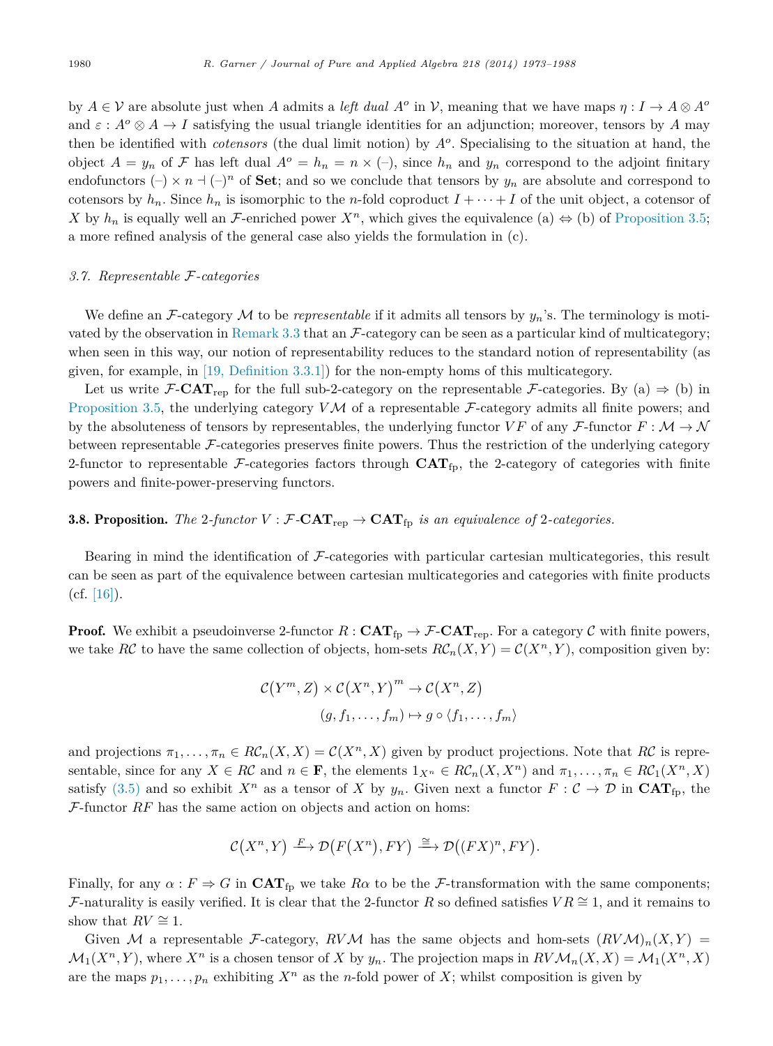<span id="page-7-0"></span>by  $A \in \mathcal{V}$  are absolute just when *A* admits a *left dual*  $A^o$  in  $\mathcal{V}$ , meaning that we have maps  $\eta : I \to A \otimes A^o$ and  $\varepsilon$ :  $A^o \otimes A \to I$  satisfying the usual triangle identities for an adjunction; moreover, tensors by *A* may then be identified with *cotensors* (the dual limit notion) by *A<sup>o</sup>*. Specialising to the situation at hand, the object  $A = y_n$  of F has left dual  $A^o = h_n = n \times (-)$ , since  $h_n$  and  $y_n$  correspond to the adjoint finitary endofunctors  $(-) \times n + (-)^n$  of **Set**; and so we conclude that tensors by  $y_n$  are absolute and correspond to cotensors by  $h_n$ . Since  $h_n$  is isomorphic to the *n*-fold coproduct  $I + \cdots + I$  of the unit object, a cotensor of *X* by  $h_n$  is equally well an *F*-enriched power  $X^n$ , which gives the equivalence (a)  $\Leftrightarrow$  (b) of [Proposition 3.5;](#page-6-0) a more refined analysis of the general case also yields the formulation in (c).

#### *3.7. Representable* F*-categories*

We define an  $\mathcal{F}\text{-category}\mathcal{M}$  to be *representable* if it admits all tensors by  $y_n$ 's. The terminology is moti-vated by the observation in [Remark 3.3](#page-5-0) that an  $\mathcal F$ -category can be seen as a particular kind of multicategory; when seen in this way, our notion of representability reduces to the standard notion of representability (as given, for example, in [\[19, Definition 3.3.1\]\)](#page-15-0) for the non-empty homs of this multicategory.

Let us write  $\mathcal{F}\text{-}\mathbf{CAT}_{\text{rep}}$  for the full sub-2-category on the representable  $\mathcal{F}\text{-categories. By (a) } \Rightarrow$  (b) in [Proposition 3.5,](#page-6-0) the underlying category *VM* of a representable *F*-category admits all finite powers; and by the absoluteness of tensors by representables, the underlying functor  $VF$  of any  $\mathcal{F}\text{-}\text{functor } F : \mathcal{M} \to \mathcal{N}$ between representable F-categories preserves finite powers. Thus the restriction of the underlying category 2-functor to representable  $\mathcal{F}$ -categories factors through  $\text{CAT}_{\text{fp}}$ , the 2-category of categories with finite powers and finite-power-preserving functors.

# **3.8. Proposition.** The 2-functor  $V : \mathcal{F}\text{-}\mathbf{CAT}_{\text{rep}} \to \mathbf{CAT}_{\text{fp}}$  is an equivalence of 2-categories.

Bearing in mind the identification of  $\mathcal F$ -categories with particular cartesian multicategories, this result can be seen as part of the equivalence between cartesian multicategories and categories with finite products  $(cf. [16]).$  $(cf. [16]).$  $(cf. [16]).$ 

**Proof.** We exhibit a pseudoinverse 2-functor  $R : \text{CAT}_{\text{fp}} \to \mathcal{F}\text{-}\text{CAT}_{\text{rep}}$ . For a category C with finite powers, we take *RC* to have the same collection of objects, hom-sets  $R\mathcal{C}_n(X,Y) = \mathcal{C}(X^n,Y)$ , composition given by:

$$
C(Y^m, Z) \times C(X^n, Y)^m \to C(X^n, Z)
$$
  

$$
(g, f_1, \dots, f_m) \mapsto g \circ \langle f_1, \dots, f_m \rangle
$$

and projections  $\pi_1, \ldots, \pi_n \in R\mathcal{C}_n(X,X) = \mathcal{C}(X^n,X)$  given by product projections. Note that  $R\mathcal{C}$  is representable, since for any  $X \in \mathbb{R}C$  and  $n \in \mathbf{F}$ , the elements  $1_{X^n} \in \mathbb{R}C_n(X, X^n)$  and  $\pi_1, \ldots, \pi_n \in \mathbb{R}C_1(X^n, X)$ satisfy [\(3.5\)](#page-6-0) and so exhibit  $X^n$  as a tensor of X by  $y_n$ . Given next a functor  $F: \mathcal{C} \to \mathcal{D}$  in  $\text{CAT}_{fp}$ , the F-functor *RF* has the same action on objects and action on homs:

$$
\mathcal{C}(X^n, Y) \xrightarrow{F} \mathcal{D}(F(X^n), FY) \xrightarrow{\cong} \mathcal{D}((FX)^n, FY).
$$

Finally, for any  $\alpha : F \Rightarrow G$  in  $\text{CAT}_{\text{fp}}$  we take  $R\alpha$  to be the *F*-transformation with the same components; F-naturality is easily verified. It is clear that the 2-functor R so defined satisfies  $VR \cong 1$ , and it remains to show that  $RV \cong 1$ .

Given M a representable F-category, RVM has the same objects and hom-sets  $(RVM)_n(X,Y)$  $\mathcal{M}_1(X^n, Y)$ , where  $X^n$  is a chosen tensor of X by  $y_n$ . The projection maps in  $RV \mathcal{M}_n(X, X) = \mathcal{M}_1(X^n, X)$ are the maps  $p_1, \ldots, p_n$  exhibiting  $X^n$  as the *n*-fold power of X; whilst composition is given by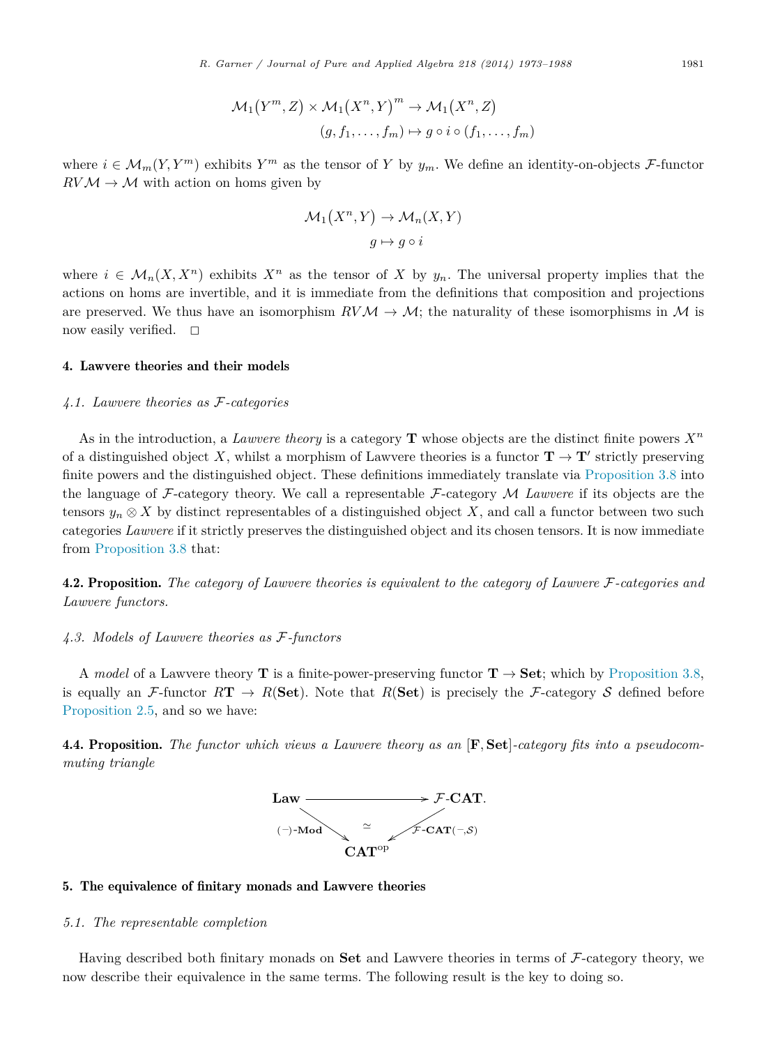$$
\mathcal{M}_1(Y^m, Z) \times \mathcal{M}_1(X^n, Y)^m \to \mathcal{M}_1(X^n, Z)
$$
  

$$
(g, f_1, \dots, f_m) \mapsto g \circ i \circ (f_1, \dots, f_m)
$$

where  $i \in \mathcal{M}_m(Y, Y^m)$  exhibits  $Y^m$  as the tensor of Y by  $y_m$ . We define an identity-on-objects F-functor  $RVM \rightarrow M$  with action on homs given by

$$
\mathcal{M}_1(X^n, Y) \to \mathcal{M}_n(X, Y)
$$

$$
g \mapsto g \circ i
$$

where  $i \in \mathcal{M}_n(X, X^n)$  exhibits  $X^n$  as the tensor of X by  $y_n$ . The universal property implies that the actions on homs are invertible, and it is immediate from the definitions that composition and projections are preserved. We thus have an isomorphism  $RVM \to M$ ; the naturality of these isomorphisms in M is now easily verified.  $\square$ 

# 4. Lawvere theories and their models

# *4.1. Lawvere theories as* F*-categories*

As in the introduction, a *Lawvere theory* is a category **T** whose objects are the distinct finite powers  $X^n$ of a distinguished object X, whilst a morphism of Lawvere theories is a functor  $\mathbf{T} \to \mathbf{T}'$  strictly preserving finite powers and the distinguished object. These definitions immediately translate via [Proposition 3.8](#page-7-0) into the language of F-category theory. We call a representable F-category M *Lawvere* if its objects are the tensors  $y_n \otimes X$  by distinct representables of a distinguished object X, and call a functor between two such categories *Lawvere* if it strictly preserves the distinguished object and its chosen tensors. It is now immediate from [Proposition 3.8](#page-7-0) that:

4.2. Proposition. *The category of Lawvere theories is equivalent to the category of Lawvere* F*-categories and Lawvere functors.*

#### *4.3. Models of Lawvere theories as* F*-functors*

A *model* of a Lawvere theory **T** is a finite-power-preserving functor  $\mathbf{T} \to \mathbf{Set}$ ; which by [Proposition 3.8,](#page-7-0) is equally an F-functor  $RT \rightarrow R(\textbf{Set})$ . Note that  $R(\textbf{Set})$  is precisely the F-category S defined before [Proposition 2.5,](#page-4-0) and so we have:

4.4. Proposition. *The functor which views a Lawvere theory as an* [**F***,* **Set**]*-category fits into a pseudocommuting triangle*



#### 5. The equivalence of finitary monads and Lawvere theories

## *5.1. The representable completion*

Having described both finitary monads on **Set** and Lawvere theories in terms of F-category theory, we now describe their equivalence in the same terms. The following result is the key to doing so.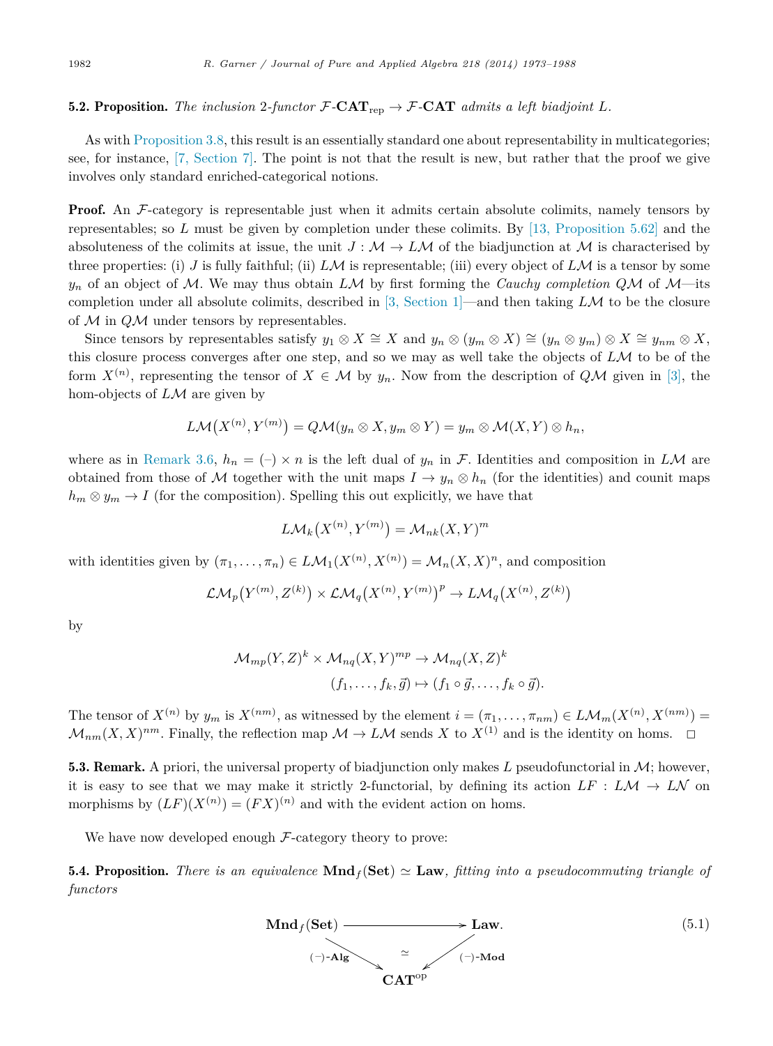# <span id="page-9-0"></span>5.2. Proposition. The inclusion 2-functor  $\mathcal{F}\text{-}\mathbf{CAT}_{\text{rep}} \to \mathcal{F}\text{-}\mathbf{CAT}_{\text{ }admits a left biadjoint } L$ .

As with [Proposition 3.8,](#page-7-0) this result is an essentially standard one about representability in multicategories; see, for instance, [\[7, Section 7\].](#page-15-0) The point is not that the result is new, but rather that the proof we give involves only standard enriched-categorical notions.

**Proof.** An F-category is representable just when it admits certain absolute colimits, namely tensors by representables; so *L* must be given by completion under these colimits. By [\[13, Proposition 5.62\]](#page-15-0) and the absoluteness of the colimits at issue, the unit  $J : \mathcal{M} \to L\mathcal{M}$  of the biadjunction at  $\mathcal{M}$  is characterised by three properties: (i) *J* is fully faithful; (ii)  $LM$  is representable; (iii) every object of  $LM$  is a tensor by some  $y_n$  of an object of M. We may thus obtain *LM* by first forming the *Cauchy completion QM* of M—its completion under all absolute colimits, described in [\[3, Section 1\]—](#page-15-0)and then taking *L*M to be the closure of M in *Q*M under tensors by representables.

Since tensors by representables satisfy  $y_1 \otimes X \cong X$  and  $y_n \otimes (y_m \otimes X) \cong (y_n \otimes y_m) \otimes X \cong y_{nm} \otimes X$ , this closure process converges after one step, and so we may as well take the objects of *L*M to be of the form  $X^{(n)}$ , representing the tensor of  $X \in \mathcal{M}$  by  $y_n$ . Now from the description of  $Q\mathcal{M}$  given in [\[3\],](#page-15-0) the hom-objects of *L*M are given by

$$
L\mathcal{M}(X^{(n)},Y^{(m)})=Q\mathcal{M}(y_n\otimes X,y_m\otimes Y)=y_m\otimes \mathcal{M}(X,Y)\otimes h_n,
$$

where as in [Remark 3.6,](#page-6-0)  $h_n = (-) \times n$  is the left dual of  $y_n$  in F. Identities and composition in LM are obtained from those of M together with the unit maps  $I \to y_n \otimes h_n$  (for the identities) and counit maps  $h_m \otimes y_m \to I$  (for the composition). Spelling this out explicitly, we have that

$$
L\mathcal{M}_k(X^{(n)}, Y^{(m)}) = \mathcal{M}_{nk}(X, Y)^m
$$

with identities given by  $(\pi_1, \ldots, \pi_n) \in L\mathcal{M}_1(X^{(n)}, X^{(n)}) = \mathcal{M}_n(X, X)^n$ , and composition

$$
\mathcal{LM}_p(Y^{(m)}, Z^{(k)})\times\mathcal{LM}_q(X^{(n)}, Y^{(m)})^p\to L\mathcal{M}_q(X^{(n)}, Z^{(k)})
$$

by

$$
\mathcal{M}_{mp}(Y,Z)^k \times \mathcal{M}_{nq}(X,Y)^{mp} \to \mathcal{M}_{nq}(X,Z)^k
$$
  

$$
(f_1,\ldots,f_k,\vec{g}) \mapsto (f_1 \circ \vec{g},\ldots,f_k \circ \vec{g}).
$$

The tensor of  $X^{(n)}$  by  $y_m$  is  $X^{(nm)}$ , as witnessed by the element  $i = (\pi_1, \ldots, \pi_{nm}) \in L\mathcal{M}_m(X^{(n)}, X^{(nm)}) =$  $\mathcal{M}_{nm}(X,X)^{nm}$ . Finally, the reflection map  $\mathcal{M} \to L\mathcal{M}$  sends X to  $X^{(1)}$  and is the identity on homs.  $\Box$ 

5.3. Remark. A priori, the universal property of biadjunction only makes L pseudofunctorial in  $\mathcal{M}$ ; however, it is easy to see that we may make it strictly 2-functorial, by defining its action  $LF : LM \rightarrow LN$  on morphisms by  $(LF)(X^{(n)})=(FX)^{(n)}$  and with the evident action on homs.

We have now developed enough  $\mathcal{F}\text{-category}$  theory to prove:

**5.4. Proposition.** *There is an equivalence*  $\text{Mnd}_f(\text{Set}) \simeq \text{Law}$ *, fitting into a pseudocommuting triangle of functors*

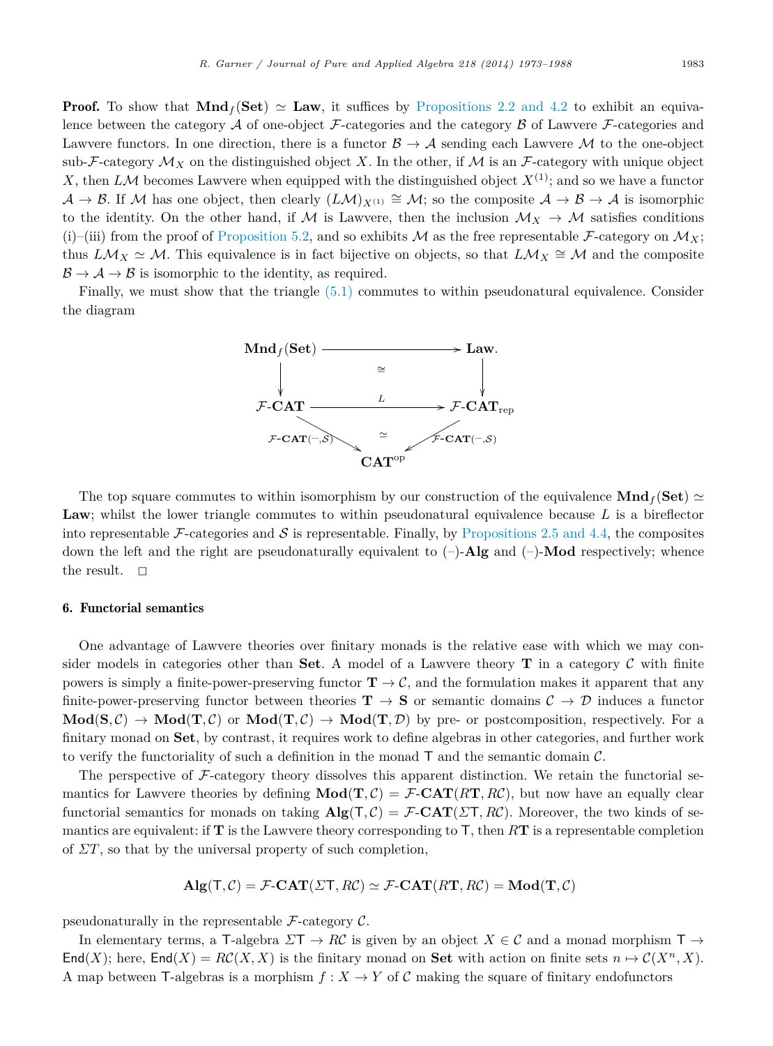**Proof.** To show that  $\text{Mnd}_f(\text{Set}) \simeq \text{Law}$ , it suffices by [Propositions 2.2 and 4.2](#page-2-0) to exhibit an equivalence between the category  $A$  of one-object  $F$ -categories and the category  $B$  of Lawvere  $F$ -categories and Lawvere functors. In one direction, there is a functor  $\mathcal{B} \to \mathcal{A}$  sending each Lawvere M to the one-object sub-F-category  $\mathcal{M}_X$  on the distinguished object X. In the other, if  $\mathcal M$  is an F-category with unique object *X*, then *LM* becomes Lawvere when equipped with the distinguished object  $X^{(1)}$ ; and so we have a functor  $A \to B$ . If M has one object, then clearly  $(LM)_{X^{(1)}} \cong M$ ; so the composite  $A \to B \to A$  is isomorphic to the identity. On the other hand, if M is Lawvere, then the inclusion  $\mathcal{M}_X \to \mathcal{M}$  satisfies conditions (i)–(iii) from the proof of [Proposition 5.2,](#page-9-0) and so exhibits M as the free representable F-category on  $\mathcal{M}_X$ ; thus  $L\mathcal{M}_X \simeq \mathcal{M}$ . This equivalence is in fact bijective on objects, so that  $L\mathcal{M}_X \simeq \mathcal{M}$  and the composite  $\mathcal{B} \rightarrow \mathcal{A} \rightarrow \mathcal{B}$  is isomorphic to the identity, as required.

Finally, we must show that the triangle [\(5.1\)](#page-9-0) commutes to within pseudonatural equivalence. Consider the diagram



The top square commutes to within isomorphism by our construction of the equivalence  $\text{Mnd}_f(\text{Set}) \simeq$ Law; whilst the lower triangle commutes to within pseudonatural equivalence because L is a bireflector into representable  $\mathcal F$ -categories and  $\mathcal S$  is representable. Finally, by [Propositions 2.5 and 4.4,](#page-4-0) the composites down the left and the right are pseudonaturally equivalent to (–)-**Alg** and (–)-**Mod** respectively; whence the result.  $\square$ 

#### 6. Functorial semantics

One advantage of Lawvere theories over finitary monads is the relative ease with which we may consider models in categories other than **Set**. A model of a Lawvere theory **T** in a category  $C$  with finite powers is simply a finite-power-preserving functor  $\mathbf{T} \to \mathcal{C}$ , and the formulation makes it apparent that any finite-power-preserving functor between theories  $\mathbf{T} \to \mathbf{S}$  or semantic domains  $\mathcal{C} \to \mathcal{D}$  induces a functor  $\text{Mod}(S, \mathcal{C}) \to \text{Mod}(T, \mathcal{C})$  or  $\text{Mod}(T, \mathcal{C}) \to \text{Mod}(T, \mathcal{D})$  by pre- or postcomposition, respectively. For a finitary monad on **Set**, by contrast, it requires work to define algebras in other categories, and further work to verify the functoriality of such a definition in the monad  $T$  and the semantic domain  $\mathcal{C}$ .

The perspective of  $\mathcal{F}\text{-category}$  theory dissolves this apparent distinction. We retain the functorial semantics for Lawvere theories by defining  $\text{Mod}(\textbf{T}, \mathcal{C}) = \mathcal{F}\text{-}\textbf{CAT}(R\textbf{T}, R\mathcal{C})$ , but now have an equally clear functorial semantics for monads on taking  $\mathbf{Alg}(T, C) = \mathcal{F}\text{-}\mathbf{CAT}(\Sigma T, RC)$ . Moreover, the two kinds of semantics are equivalent: if **T** is the Lawvere theory corresponding to T, then *R***T** is a representable completion of *ΣT*, so that by the universal property of such completion,

$$
\mathbf{Alg}(\mathsf{T}, \mathcal{C}) = \mathcal{F}\text{-}\mathbf{CAT}(\mathcal{Z}\mathsf{T}, R\mathcal{C}) \simeq \mathcal{F}\text{-}\mathbf{CAT}(R\mathbf{T}, R\mathcal{C}) = \mathbf{Mod}(\mathbf{T}, \mathcal{C})
$$

pseudonaturally in the representable  $\mathcal{F}\text{-category } \mathcal{C}.$ 

In elementary terms, a T-algebra  $\Sigma T \to R\mathcal{C}$  is given by an object  $X \in \mathcal{C}$  and a monad morphism  $T \to$ End(*X*); here, End(*X*) =  $RC(X, X)$  is the finitary monad on Set with action on finite sets  $n \mapsto C(X^n, X)$ . A map between T-algebras is a morphism  $f: X \to Y$  of C making the square of finitary endofunctors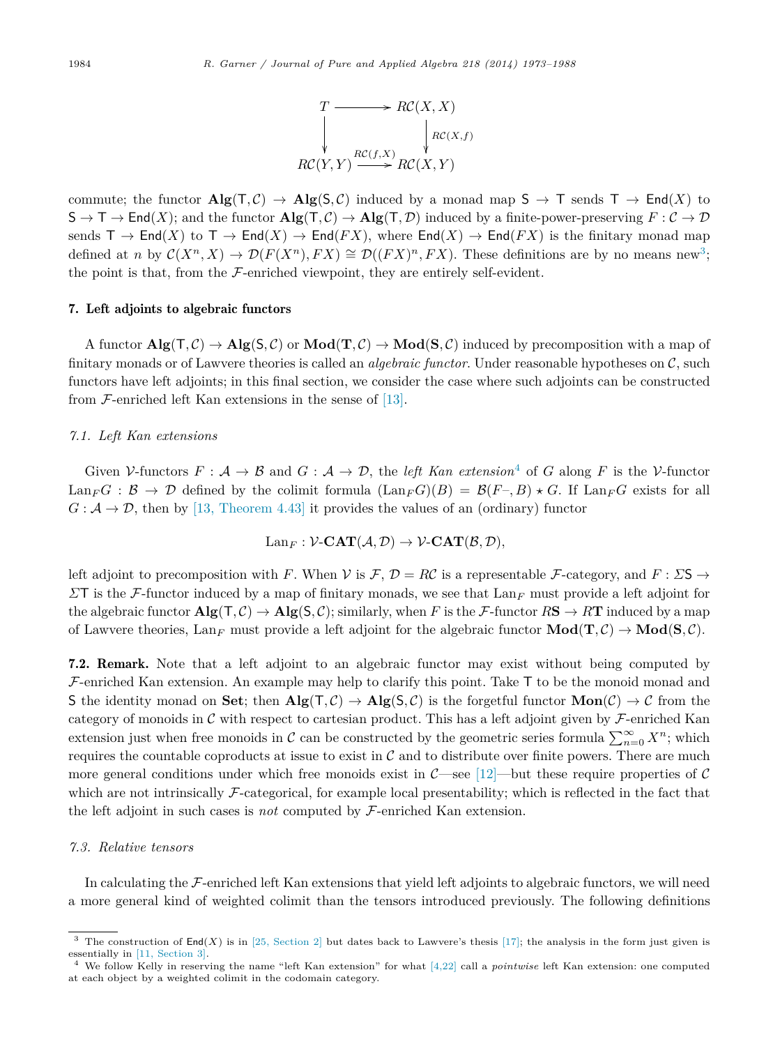$$
T \longrightarrow RC(X, X)
$$
  
\n
$$
\downarrow RC(X, Y) \xrightarrow{RC(f, X)} RC(X, Y)
$$
  
\n
$$
RC(Y, Y) \xrightarrow{RC(f, X)} RC(X, Y)
$$

<span id="page-11-0"></span>commute; the functor  $\text{Alg}(T, C) \to \text{Alg}(S, C)$  induced by a monad map  $S \to T$  sends  $T \to \text{End}(X)$  to  $S \to T \to \text{End}(X)$ ; and the functor  $\text{Alg}(T, C) \to \text{Alg}(T, \mathcal{D})$  induced by a finite-power-preserving  $F: C \to \mathcal{D}$ sends  $\mathsf{T} \to \mathsf{End}(X)$  to  $\mathsf{T} \to \mathsf{End}(X) \to \mathsf{End}(FX)$ , where  $\mathsf{End}(X) \to \mathsf{End}(FX)$  is the finitary monad map defined at *n* by  $C(X^n, X) \to \mathcal{D}(F(X^n), FX) \cong \mathcal{D}((FX)^n, FX)$ . These definitions are by no means new<sup>3</sup>; the point is that, from the  $\mathcal F$ -enriched viewpoint, they are entirely self-evident.

#### 7. Left adjoints to algebraic functors

A functor  $\mathbf{Alg}(T, C) \to \mathbf{Alg}(S, C)$  or  $\mathbf{Mod}(T, C) \to \mathbf{Mod}(S, C)$  induced by precomposition with a map of finitary monads or of Lawvere theories is called an *algebraic functor*. Under reasonable hypotheses on C, such functors have left adjoints; in this final section, we consider the case where such adjoints can be constructed from  $\mathcal F$ -enriched left Kan extensions in the sense of [\[13\].](#page-15-0)

# *7.1. Left Kan extensions*

Given  $V$ -functors  $F: \mathcal{A} \to \mathcal{B}$  and  $G: \mathcal{A} \to \mathcal{D}$ , the *left Kan extension*<sup>4</sup> of *G* along *F* is the  $V$ -functor  $\text{Lan}_F G : \mathcal{B} \to \mathcal{D}$  defined by the colimit formula  $(\text{Lan}_F G)(B) = \mathcal{B}(F-, B) \star G$ . If  $\text{Lan}_F G$  exists for all  $G: \mathcal{A} \to \mathcal{D}$ , then by [\[13, Theorem 4.43\]](#page-15-0) it provides the values of an (ordinary) functor

$$
\mathrm{Lan}_F: \mathcal{V}\text{-}\mathbf{CAT}(\mathcal{A}, \mathcal{D}) \to \mathcal{V}\text{-}\mathbf{CAT}(\mathcal{B}, \mathcal{D}),
$$

left adjoint to precomposition with *F*. When V is  $\mathcal{F}, \mathcal{D} = \mathcal{RC}$  is a representable  $\mathcal{F}\text{-category}$ , and  $F : \mathcal{LS} \to$ *Σ*T is the F-functor induced by a map of finitary monads, we see that Lan*<sup>F</sup>* must provide a left adjoint for the algebraic functor  $\mathbf{Alg}(T, \mathcal{C}) \to \mathbf{Alg}(S, \mathcal{C})$ ; similarly, when F is the F-functor  $R\mathbf{S} \to R\mathbf{T}$  induced by a map of Lawvere theories,  $\text{Lan}_F$  must provide a left adjoint for the algebraic functor  $\text{Mod}(\mathbf{T}, \mathcal{C}) \to \text{Mod}(\mathbf{S}, \mathcal{C})$ .

7.2. Remark. Note that a left adjoint to an algebraic functor may exist without being computed by  $\mathcal{F}\text{-enriched Kan extension.}$  An example may help to clarify this point. Take T to be the monoid monad and S the identity monad on **Set**; then  $\text{Alg}(T, C) \to \text{Alg}(S, C)$  is the forgetful functor  $\text{Mon}(C) \to C$  from the category of monoids in  $\mathcal C$  with respect to cartesian product. This has a left adjoint given by  $\mathcal F$ -enriched Kan extension just when free monoids in C can be constructed by the geometric series formula  $\sum_{n=0}^{\infty} X^n$ ; which requires the countable coproducts at issue to exist in  $C$  and to distribute over finite powers. There are much more general conditions under which free monoids exist in  $\mathcal{C}-$  see [\[12\]—](#page-15-0)but these require properties of  $\mathcal{C}$ which are not intrinsically  $\mathcal F$ -categorical, for example local presentability; which is reflected in the fact that the left adjoint in such cases is *not* computed by F-enriched Kan extension.

#### *7.3. Relative tensors*

In calculating the F-enriched left Kan extensions that yield left adjoints to algebraic functors, we will need a more general kind of weighted colimit than the tensors introduced previously. The following definitions

The construction of  $\text{End}(X)$  is in [\[25, Section 2\]](#page-15-0) but dates back to Lawvere's thesis [\[17\];](#page-15-0) the analysis in the form just given is essentially in [\[11, Section 3\].](#page-15-0)

<sup>4</sup> We follow Kelly in reserving the name "left Kan extension" for what [\[4,22\]](#page-15-0) call a *pointwise* left Kan extension: one computed at each object by a weighted colimit in the codomain category.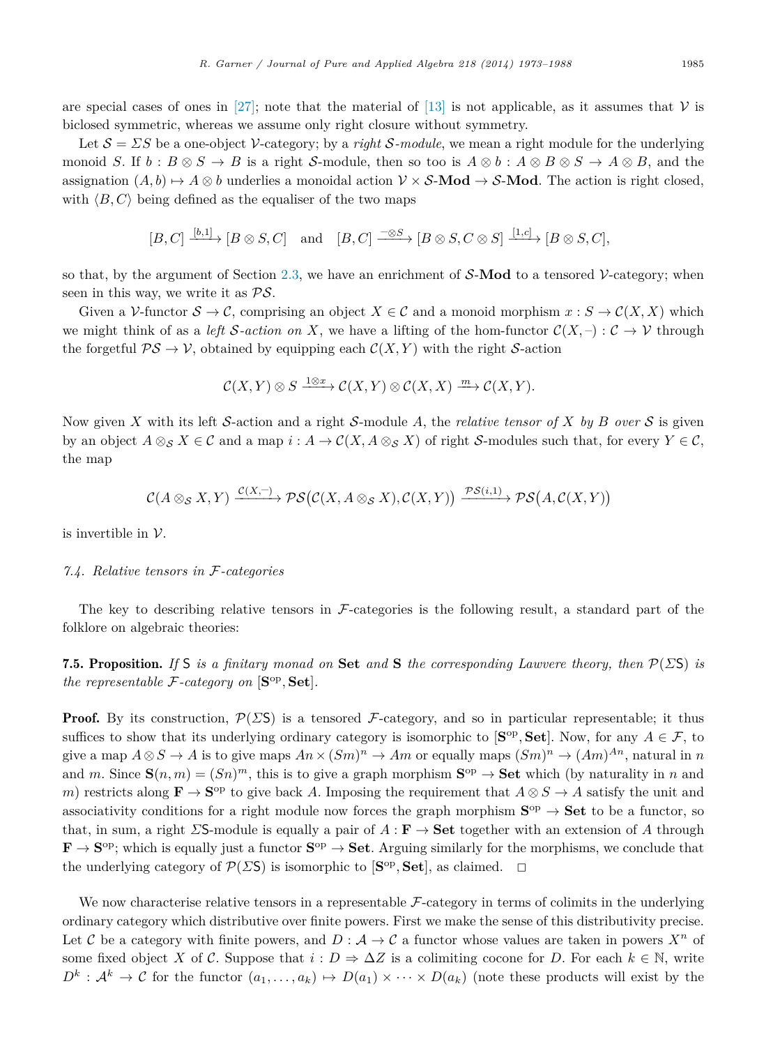<span id="page-12-0"></span>Let  $S = \Sigma S$  be a one-object V-category; by a *right* S-module, we mean a right module for the underlying monoid *S*. If  $b : B \otimes S \to B$  is a right S-module, then so too is  $A \otimes b : A \otimes B \otimes S \to A \otimes B$ , and the assignation  $(A, b) \mapsto A \otimes b$  underlies a monoidal action  $V \times S$ -**Mod**  $\rightarrow S$ -**Mod**. The action is right closed, with  $\langle B, C \rangle$  being defined as the equaliser of the two maps

$$
[B, C] \xrightarrow{[b,1]} [B \otimes S, C]
$$
 and  $[B, C] \xrightarrow{-\otimes S} [B \otimes S, C \otimes S] \xrightarrow{[1,c]} [B \otimes S, C],$ 

so that, by the argument of Section [2.3,](#page-2-0) we have an enrichment of S-**Mod** to a tensored V-category; when seen in this way, we write it as  $\mathcal{PS}$ .

Given a V-functor  $S \to \mathcal{C}$ , comprising an object  $X \in \mathcal{C}$  and a monoid morphism  $x : S \to \mathcal{C}(X, X)$  which we might think of as a *left* S-action on X, we have a lifting of the hom-functor  $\mathcal{C}(X, -): \mathcal{C} \to \mathcal{V}$  through the forgetful  $\mathcal{PS} \to \mathcal{V}$ , obtained by equipping each  $\mathcal{C}(X, Y)$  with the right S-action

$$
\mathcal{C}(X,Y)\otimes S \xrightarrow{1\otimes x} \mathcal{C}(X,Y)\otimes \mathcal{C}(X,X) \xrightarrow{m} \mathcal{C}(X,Y).
$$

Now given X with its left S-action and a right S-module A, the *relative tensor of* X by B over S is given by an object  $A \otimes_{\mathcal{S}} X \in \mathcal{C}$  and a map  $i : A \to \mathcal{C}(X, A \otimes_{\mathcal{S}} X)$  of right S-modules such that, for every  $Y \in \mathcal{C}$ , the map

$$
\mathcal{C}(A\otimes_{\mathcal{S}} X,Y)\xrightarrow{\mathcal{C}(X,-)}\mathcal{PS}\big(\mathcal{C}(X,A\otimes_{\mathcal{S}} X),\mathcal{C}(X,Y)\big)\xrightarrow{\mathcal{PS}(i,1)}\mathcal{PS}\big(A,\mathcal{C}(X,Y)\big)
$$

is invertible in  $V$ .

# *7.4. Relative tensors in* F*-categories*

The key to describing relative tensors in  $\mathcal F$ -categories is the following result, a standard part of the folklore on algebraic theories:

7.5. Proposition. *If* S *is a finitary monad on* **Set** *and* **S** *the corresponding Lawvere theory, then* P(*Σ*S) *is the representable*  $\mathcal{F}$ -*category on*  $[\mathbf{S}^{\mathrm{op}}, \mathbf{Set}]$ *.* 

**Proof.** By its construction,  $\mathcal{P}(\Sigma S)$  is a tensored F-category, and so in particular representable; it thus suffices to show that its underlying ordinary category is isomorphic to  $[\mathbf{S}^{\text{op}}, \mathbf{Set}]$ . Now, for any  $A \in \mathcal{F}$ , to give a map  $A \otimes S \to A$  is to give maps  $An \times (Sm)^n \to Am$  or equally maps  $(Sm)^n \to (Am)^{An}$ , natural in *n* and *m*. Since  $\mathbf{S}(n,m)=(Sn)^m$ , this is to give a graph morphism  $\mathbf{S}^{op} \to \mathbf{Set}$  which (by naturality in *n* and *m*) restricts along  $\mathbf{F} \to \mathbf{S}^{\mathrm{op}}$  to give back *A*. Imposing the requirement that  $A \otimes S \to A$  satisfy the unit and associativity conditions for a right module now forces the graph morphism  $S^{op} \rightarrow Set$  to be a functor, so that, in sum, a right *Σ*S-module is equally a pair of *A* : **F** → **Set** together with an extension of *A* through  $\mathbf{F} \to \mathbf{S}^{\mathrm{op}}$ ; which is equally just a functor  $\mathbf{S}^{\mathrm{op}} \to \mathbf{Set}$ . Arguing similarly for the morphisms, we conclude that the underlying category of  $\mathcal{P}(\Sigma S)$  is isomorphic to  $[\mathbf{S}^{\mathrm{op}}, \mathbf{Set}]$ , as claimed.  $\square$ 

We now characterise relative tensors in a representable  $\mathcal{F}-\text{category}$  in terms of colimits in the underlying ordinary category which distributive over finite powers. First we make the sense of this distributivity precise. Let C be a category with finite powers, and  $D: A \to C$  a functor whose values are taken in powers  $X^n$  of some fixed object *X* of *C*. Suppose that  $i: D \Rightarrow \Delta Z$  is a colimiting cocone for *D*. For each  $k \in \mathbb{N}$ , write  $D^k$  :  $\mathcal{A}^k \to \mathcal{C}$  for the functor  $(a_1, \ldots, a_k) \mapsto D(a_1) \times \cdots \times D(a_k)$  (note these products will exist by the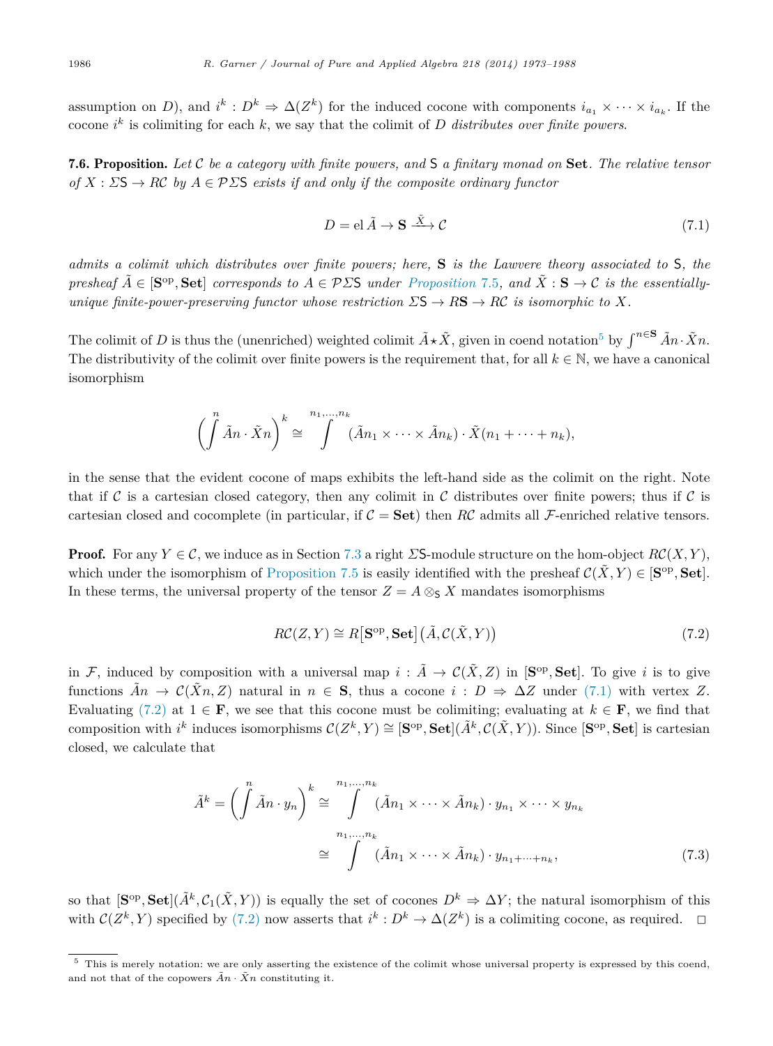<span id="page-13-0"></span>assumption on *D*), and  $i^k : D^k \Rightarrow \Delta(Z^k)$  for the induced cocone with components  $i_{a_1} \times \cdots \times i_{a_k}$ . If the cocone  $i^k$  is colimiting for each  $k$ , we say that the colimit of  $D$  *distributes over finite powers*.

7.6. Proposition. *Let* C *be a category with finite powers, and* S *a finitary monad on* **Set***. The relative tensor*  $of X : \Sigma S \rightarrow R\mathcal{C}$  *by*  $A \in \mathcal{P} \Sigma S$  *exists if and only if the composite ordinary functor* 

$$
D = el \tilde{A} \to \mathbf{S} \xrightarrow{\tilde{X}} \mathcal{C}
$$
\n(7.1)

*admits a colimit which distributes over finite powers; here,* **S** *is the Lawvere theory associated to* S*, the presheaf*  $\tilde{A} \in [\mathbf{S}^{\mathrm{op}}, \mathbf{Set}]$  *corresponds to*  $A \in \mathcal{P} \Sigma \mathbf{S}$  *under [Proposition](#page-12-0)* 7.5*, and*  $\tilde{X} : \mathbf{S} \to \mathcal{C}$  *is the essentiallyunique finite-power-preserving functor whose restriction*  $\Sigma S \to R\mathbf{S} \to R\mathcal{C}$  *is isomorphic to*  $X$ *.* 

The colimit of *D* is thus the (unenriched) weighted colimit  $\tilde{A} \star \tilde{X}$ , given in coend notation<sup>5</sup> by  $\int^{n \in \mathbf{S}} \tilde{A} n \cdot \tilde{X} n$ . The distributivity of the colimit over finite powers is the requirement that, for all  $k \in \mathbb{N}$ , we have a canonical isomorphism

$$
\left(\int\limits^n\tilde{A}n\cdot\tilde{X}n\right)^k\cong\int\limits^{n_1,\ldots,n_k}(\tilde{A}n_1\times\cdots\times\tilde{A}n_k)\cdot\tilde{X}(n_1+\cdots+n_k),
$$

in the sense that the evident cocone of maps exhibits the left-hand side as the colimit on the right. Note that if C is a cartesian closed category, then any colimit in C distributes over finite powers; thus if C is cartesian closed and cocomplete (in particular, if  $C =$  **Set**) then *RC* admits all F-enriched relative tensors.

**Proof.** For any  $Y \in \mathcal{C}$ , we induce as in Section [7.3](#page-11-0) a right  $\Sigma$ S-module structure on the hom-object  $R\mathcal{C}(X, Y)$ , which under the isomorphism of [Proposition 7.5](#page-12-0) is easily identified with the presheaf  $\mathcal{C}(\tilde{X}, Y) \in [\mathbf{S}^{\mathrm{op}}, \mathbf{Set}]$ . In these terms, the universal property of the tensor  $Z = A \otimes_{S} X$  mandates isomorphisms

$$
RC(Z, Y) \cong R[\mathbf{S}^{\mathrm{op}}, \mathbf{Set}](\tilde{A}, \mathcal{C}(\tilde{X}, Y))
$$
\n(7.2)

in F, induced by composition with a universal map  $i : \tilde{A} \to \mathcal{C}(\tilde{X}, Z)$  in [S<sup>op</sup>, Set]. To give *i* is to give functions  $\tilde{A}n \to \mathcal{C}(\tilde{X}n, Z)$  natural in  $n \in \mathbf{S}$ , thus a cocone  $i : D \Rightarrow \Delta Z$  under (7.1) with vertex Z. Evaluating (7.2) at  $1 \in \mathbf{F}$ , we see that this cocone must be colimiting; evaluating at  $k \in \mathbf{F}$ , we find that composition with  $i^k$  induces isomorphisms  $C(Z^k, Y) \cong [\mathbf{S}^{op}, \mathbf{Set}](\tilde{A}^k, C(\tilde{X}, Y))$ . Since  $[\mathbf{S}^{op}, \mathbf{Set}]$  is cartesian closed, we calculate that

$$
\tilde{A}^k = \left(\int \tilde{A}n \cdot y_n\right)^k \cong \int \limits_{n_1, \dots, n_k}^{n_1, \dots, n_k} (\tilde{A}n_1 \times \dots \times \tilde{A}n_k) \cdot y_{n_1} \times \dots \times y_{n_k}
$$
\n
$$
\cong \int \limits_{n_1, \dots, n_k} (\tilde{A}n_1 \times \dots \times \tilde{A}n_k) \cdot y_{n_1 + \dots + n_k}, \tag{7.3}
$$

so that  $[\mathbf{S}^{\mathrm{op}}, \mathbf{Set}](\tilde{A}^k, \mathcal{C}_1(\tilde{X}, Y))$  is equally the set of cocones  $D^k \Rightarrow \Delta Y$ ; the natural isomorphism of this with  $C(Z^k, Y)$  specified by (7.2) now asserts that  $i^k : D^k \to \Delta(Z^k)$  is a colimiting cocone, as required.  $\Box$ 

 $5$  This is merely notation: we are only asserting the existence of the colimit whose universal property is expressed by this coend, and not that of the copowers  $An \cdot \tilde{X}n$  constituting it.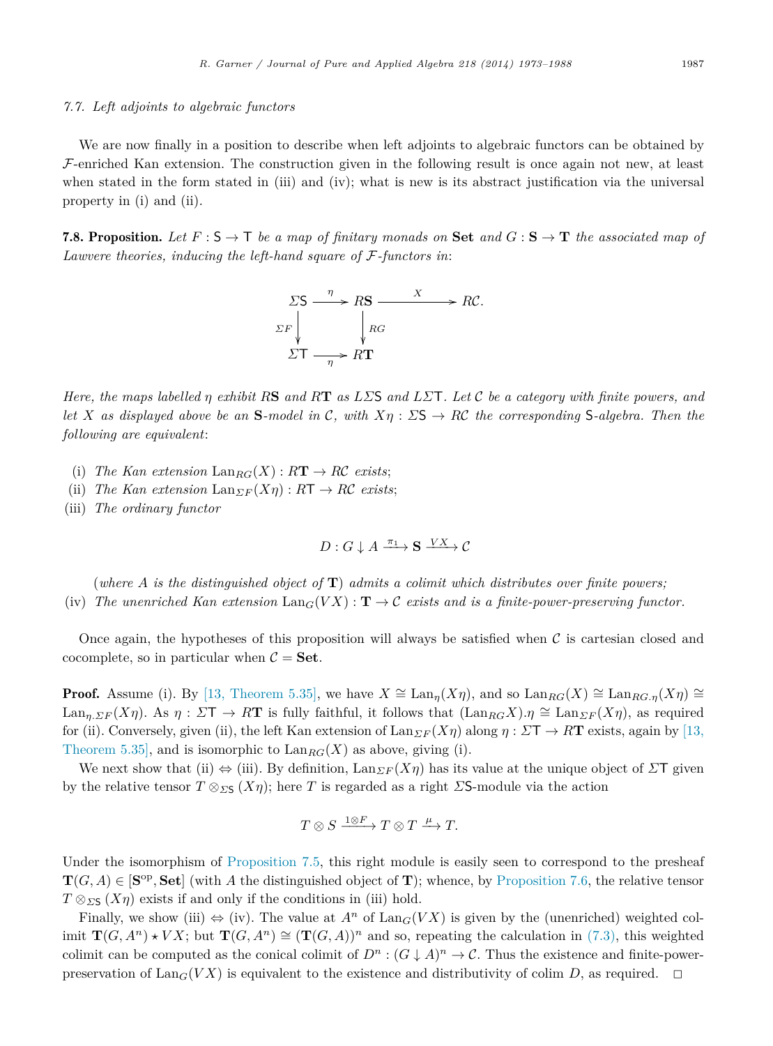#### *7.7. Left adjoints to algebraic functors*

We are now finally in a position to describe when left adjoints to algebraic functors can be obtained by  $F$ -enriched Kan extension. The construction given in the following result is once again not new, at least when stated in the form stated in (iii) and (iv); what is new is its abstract justification via the universal property in (i) and (ii).

**7.8. Proposition.** Let  $F : S \to T$  be a map of finitary monads on **Set** and  $G : S \to T$  the associated map of *Lawvere theories, inducing the left-hand square of* F*-functors in*:



*Here, the maps labelled η exhibit R***S** *and R***T** *as LΣ*S *and LΣ*T*. Let* C *be a category with finite powers, and let X* as displayed above be an **S**-model in C, with  $X\eta$  :  $\Sigma$ **S**  $\rightarrow$  *RC* the corresponding **S**-algebra. Then the *following are equivalent*:

- (i) *The Kan extension*  $\text{Lan}_{RG}(X) : R\mathbf{T} \to R\mathcal{C}$  *exists*;
- (ii) *The Kan extension*  $\text{Lan}_{\Sigma F}(X\eta) : R\mathsf{T} \to R\mathcal{C}$  *exists*;
- (iii) *The ordinary functor*

$$
D: G\downarrow A \xrightarrow{\pi_1} \mathbf{S} \xrightarrow{VX} \mathcal{C}
$$

(*where A is the distinguished object of* **T**) *admits a colimit which distributes over finite powers;* (iv) The unenriched Kan extension  $\text{Lan}_G(VX) : \mathbf{T} \to \mathcal{C}$  exists and is a finite-power-preserving functor.

Once again, the hypotheses of this proposition will always be satisfied when  $\mathcal C$  is cartesian closed and cocomplete, so in particular when  $C = Set$ .

**Proof.** Assume (i). By [\[13, Theorem 5.35\],](#page-15-0) we have  $X \cong \text{Lan}_n(X\eta)$ , and so  $\text{Lan}_{RG}(X) \cong \text{Lan}_{RG}(\chi \eta) \cong$ Lan<sub>*n,*  $\Sigma F(X\eta)$ *.* As  $\eta : \Sigma T \to R\mathbf{T}$  is fully faithful, it follows that  $(\text{Lan}_{RG}X) \cdot \eta \cong \text{Lan}_{\Sigma F}(X\eta)$ , as required</sub> for (ii). Conversely, given (ii), the left Kan extension of  $\text{Lan}_{\Sigma F}(X\eta)$  along  $\eta : \Sigma T \to R\mathbf{T}$  exists, again by [\[13,](#page-15-0) [Theorem 5.35\],](#page-15-0) and is isomorphic to  $\text{Lan}_{BC}(X)$  as above, giving (i).

We next show that (ii)  $\Leftrightarrow$  (iii). By definition, Lan $_{\Sigma F}(X\eta)$  has its value at the unique object of  $\Sigma T$  given by the relative tensor  $T \otimes_{\Sigma S} (X\eta)$ ; here *T* is regarded as a right *Σ***S**-module via the action

$$
T \otimes S \xrightarrow{1 \otimes F} T \otimes T \xrightarrow{\mu} T.
$$

Under the isomorphism of [Proposition 7.5,](#page-12-0) this right module is easily seen to correspond to the presheaf  $T(G, A) \in [\mathbf{S}^{\mathrm{op}}, \mathbf{Set}]$  (with *A* the distinguished object of **T**); whence, by [Proposition 7.6,](#page-13-0) the relative tensor  $T \otimes_{\Sigma S} (X\eta)$  exists if and only if the conditions in (iii) hold.

Finally, we show (iii)  $\Leftrightarrow$  (iv). The value at  $A^n$  of  $\text{Lan}_G(VX)$  is given by the (unenriched) weighted colimit  $\mathbf{T}(G, A^n) \star VX$ ; but  $\mathbf{T}(G, A^n) \cong (\mathbf{T}(G, A))^n$  and so, repeating the calculation in [\(7.3\),](#page-13-0) this weighted colimit can be computed as the conical colimit of  $D^n$ :  $(G \downarrow A)^n \to \mathcal{C}$ . Thus the existence and finite-powerpreservation of  $\text{Lan}_G(VX)$  is equivalent to the existence and distributivity of colim *D*, as required.  $\Box$